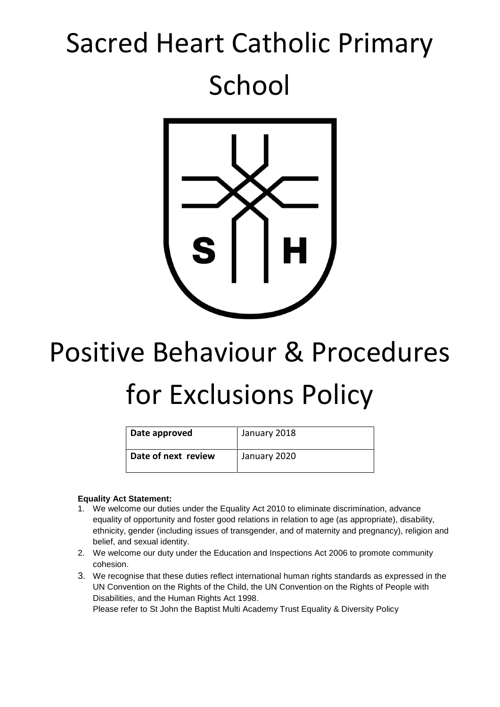## Sacred Heart Catholic Primary School



# Positive Behaviour & Procedures for Exclusions Policy

| Date approved       | January 2018 |
|---------------------|--------------|
| Date of next review | January 2020 |

#### **Equality Act Statement:**

- 1. We welcome our duties under the Equality Act 2010 to eliminate discrimination, advance equality of opportunity and foster good relations in relation to age (as appropriate), disability, ethnicity, gender (including issues of transgender, and of maternity and pregnancy), religion and belief, and sexual identity.
- 2. We welcome our duty under the Education and Inspections Act 2006 to promote community cohesion.
- 3. We recognise that these duties reflect international human rights standards as expressed in the UN Convention on the Rights of the Child, the UN Convention on the Rights of People with Disabilities, and the Human Rights Act 1998.

Please refer to St John the Baptist Multi Academy Trust Equality & Diversity Policy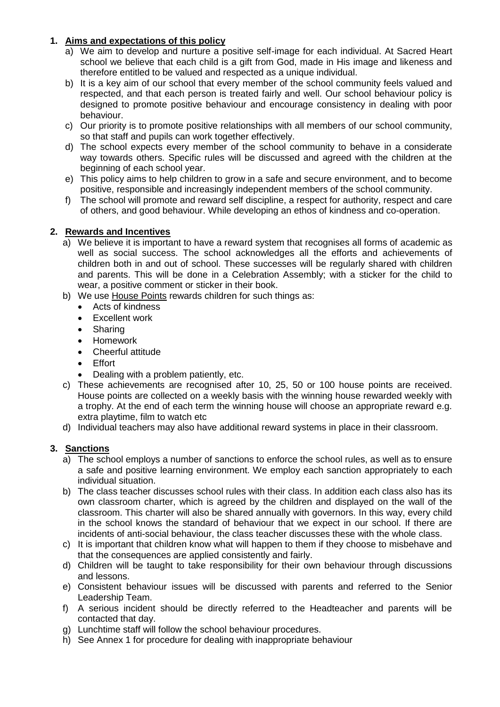#### **1. Aims and expectations of this policy**

- a) We aim to develop and nurture a positive self-image for each individual. At Sacred Heart school we believe that each child is a gift from God, made in His image and likeness and therefore entitled to be valued and respected as a unique individual.
- b) It is a key aim of our school that every member of the school community feels valued and respected, and that each person is treated fairly and well. Our school behaviour policy is designed to promote positive behaviour and encourage consistency in dealing with poor behaviour.
- c) Our priority is to promote positive relationships with all members of our school community, so that staff and pupils can work together effectively.
- d) The school expects every member of the school community to behave in a considerate way towards others. Specific rules will be discussed and agreed with the children at the beginning of each school year.
- e) This policy aims to help children to grow in a safe and secure environment, and to become positive, responsible and increasingly independent members of the school community.
- f) The school will promote and reward self discipline, a respect for authority, respect and care of others, and good behaviour. While developing an ethos of kindness and co-operation.

#### **2. Rewards and Incentives**

- a) We believe it is important to have a reward system that recognises all forms of academic as well as social success. The school acknowledges all the efforts and achievements of children both in and out of school. These successes will be regularly shared with children and parents. This will be done in a Celebration Assembly; with a sticker for the child to wear, a positive comment or sticker in their book.
- b) We use House Points rewards children for such things as:
	- Acts of kindness
	- Excellent work
	- Sharing
	- Homework
	- Cheerful attitude
	- Effort
	- Dealing with a problem patiently, etc.
- c) These achievements are recognised after 10, 25, 50 or 100 house points are received. House points are collected on a weekly basis with the winning house rewarded weekly with a trophy. At the end of each term the winning house will choose an appropriate reward e.g. extra playtime, film to watch etc
- d) Individual teachers may also have additional reward systems in place in their classroom.

#### **3. Sanctions**

- a) The school employs a number of sanctions to enforce the school rules, as well as to ensure a safe and positive learning environment. We employ each sanction appropriately to each individual situation.
- b) The class teacher discusses school rules with their class. In addition each class also has its own classroom charter, which is agreed by the children and displayed on the wall of the classroom. This charter will also be shared annually with governors. In this way, every child in the school knows the standard of behaviour that we expect in our school. If there are incidents of anti-social behaviour, the class teacher discusses these with the whole class.
- c) It is important that children know what will happen to them if they choose to misbehave and that the consequences are applied consistently and fairly.
- d) Children will be taught to take responsibility for their own behaviour through discussions and lessons.
- e) Consistent behaviour issues will be discussed with parents and referred to the Senior Leadership Team.
- f) A serious incident should be directly referred to the Headteacher and parents will be contacted that day.
- g) Lunchtime staff will follow the school behaviour procedures.
- h) See Annex 1 for procedure for dealing with inappropriate behaviour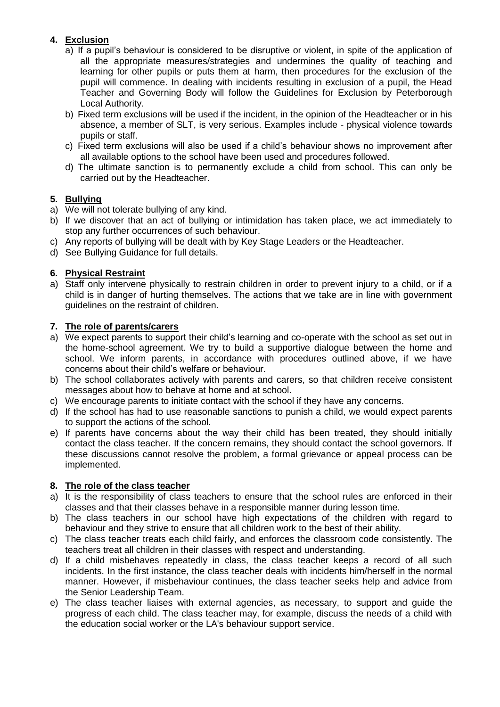### **4. Exclusion**

- a) If a pupil's behaviour is considered to be disruptive or violent, in spite of the application of all the appropriate measures/strategies and undermines the quality of teaching and learning for other pupils or puts them at harm, then procedures for the exclusion of the pupil will commence. In dealing with incidents resulting in exclusion of a pupil, the Head Teacher and Governing Body will follow the Guidelines for Exclusion by Peterborough Local Authority.
- b) Fixed term exclusions will be used if the incident, in the opinion of the Headteacher or in his absence, a member of SLT, is very serious. Examples include - physical violence towards pupils or staff.
- c) Fixed term exclusions will also be used if a child's behaviour shows no improvement after all available options to the school have been used and procedures followed.
- d) The ultimate sanction is to permanently exclude a child from school. This can only be carried out by the Headteacher.

#### **5. Bullying**

- a) We will not tolerate bullying of any kind.
- b) If we discover that an act of bullying or intimidation has taken place, we act immediately to stop any further occurrences of such behaviour.
- c) Any reports of bullying will be dealt with by Key Stage Leaders or the Headteacher.
- d) See Bullying Guidance for full details.

#### **6. Physical Restraint**

a) Staff only intervene physically to restrain children in order to prevent injury to a child, or if a child is in danger of hurting themselves. The actions that we take are in line with government guidelines on the restraint of children.

#### **7. The role of parents/carers**

- a) We expect parents to support their child's learning and co-operate with the school as set out in the home-school agreement. We try to build a supportive dialogue between the home and school. We inform parents, in accordance with procedures outlined above, if we have concerns about their child's welfare or behaviour.
- b) The school collaborates actively with parents and carers, so that children receive consistent messages about how to behave at home and at school.
- c) We encourage parents to initiate contact with the school if they have any concerns.
- d) If the school has had to use reasonable sanctions to punish a child, we would expect parents to support the actions of the school.
- e) If parents have concerns about the way their child has been treated, they should initially contact the class teacher. If the concern remains, they should contact the school governors. If these discussions cannot resolve the problem, a formal grievance or appeal process can be implemented.

#### **8. The role of the class teacher**

- a) It is the responsibility of class teachers to ensure that the school rules are enforced in their classes and that their classes behave in a responsible manner during lesson time.
- b) The class teachers in our school have high expectations of the children with regard to behaviour and they strive to ensure that all children work to the best of their ability.
- c) The class teacher treats each child fairly, and enforces the classroom code consistently. The teachers treat all children in their classes with respect and understanding.
- d) If a child misbehaves repeatedly in class, the class teacher keeps a record of all such incidents. In the first instance, the class teacher deals with incidents him/herself in the normal manner. However, if misbehaviour continues, the class teacher seeks help and advice from the Senior Leadership Team.
- e) The class teacher liaises with external agencies, as necessary, to support and guide the progress of each child. The class teacher may, for example, discuss the needs of a child with the education social worker or the LA's behaviour support service.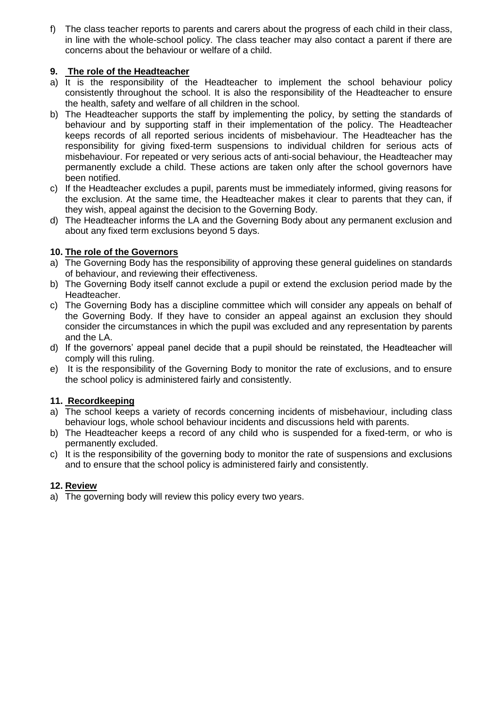f) The class teacher reports to parents and carers about the progress of each child in their class, in line with the whole-school policy. The class teacher may also contact a parent if there are concerns about the behaviour or welfare of a child.

#### **9. The role of the Headteacher**

- a) It is the responsibility of the Headteacher to implement the school behaviour policy consistently throughout the school. It is also the responsibility of the Headteacher to ensure the health, safety and welfare of all children in the school.
- b) The Headteacher supports the staff by implementing the policy, by setting the standards of behaviour and by supporting staff in their implementation of the policy. The Headteacher keeps records of all reported serious incidents of misbehaviour. The Headteacher has the responsibility for giving fixed-term suspensions to individual children for serious acts of misbehaviour. For repeated or very serious acts of anti-social behaviour, the Headteacher may permanently exclude a child. These actions are taken only after the school governors have been notified.
- c) If the Headteacher excludes a pupil, parents must be immediately informed, giving reasons for the exclusion. At the same time, the Headteacher makes it clear to parents that they can, if they wish, appeal against the decision to the Governing Body.
- d) The Headteacher informs the LA and the Governing Body about any permanent exclusion and about any fixed term exclusions beyond 5 days.

#### **10. The role of the Governors**

- a) The Governing Body has the responsibility of approving these general guidelines on standards of behaviour, and reviewing their effectiveness.
- b) The Governing Body itself cannot exclude a pupil or extend the exclusion period made by the Headteacher.
- c) The Governing Body has a discipline committee which will consider any appeals on behalf of the Governing Body. If they have to consider an appeal against an exclusion they should consider the circumstances in which the pupil was excluded and any representation by parents and the LA.
- d) If the governors' appeal panel decide that a pupil should be reinstated, the Headteacher will comply will this ruling.
- e) It is the responsibility of the Governing Body to monitor the rate of exclusions, and to ensure the school policy is administered fairly and consistently.

#### **11. Recordkeeping**

- a) The school keeps a variety of records concerning incidents of misbehaviour, including class behaviour logs, whole school behaviour incidents and discussions held with parents.
- b) The Headteacher keeps a record of any child who is suspended for a fixed-term, or who is permanently excluded.
- c) It is the responsibility of the governing body to monitor the rate of suspensions and exclusions and to ensure that the school policy is administered fairly and consistently.

#### **12. Review**

a) The governing body will review this policy every two years.